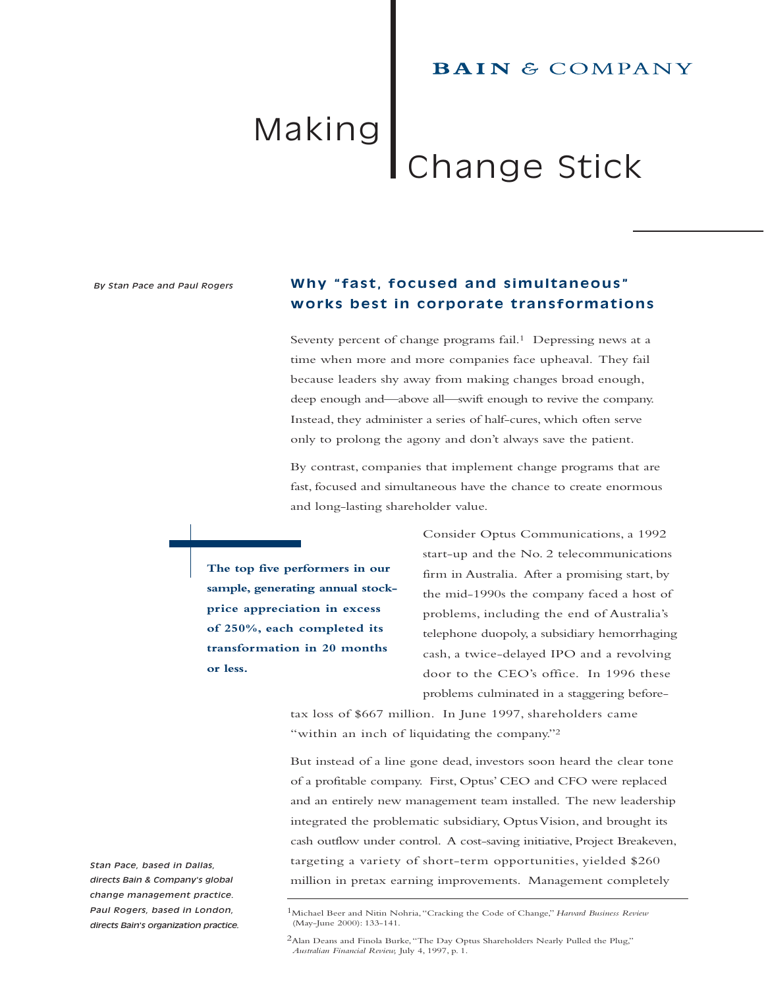# **BAIN & COMPANY**

# Making Change Stick

#### *By Stan Pace and Paul Rogers*

# **Why "fast, focused and simultaneous" works best in corporate transformations**

Seventy percent of change programs fail.<sup>1</sup> Depressing news at a time when more and more companies face upheaval. They fail because leaders shy away from making changes broad enough, deep enough and—above all—swift enough to revive the company. Instead, they administer a series of half-cures, which often serve only to prolong the agony and don't always save the patient.

By contrast, companies that implement change programs that are fast, focused and simultaneous have the chance to create enormous and long-lasting shareholder value.

**The top five performers in our sample, generating annual stockprice appreciation in excess of 250%, each completed its transformation in 20 months or less.**

Consider Optus Communications, a 1992 start-up and the No. 2 telecommunications firm in Australia. After a promising start, by the mid-1990s the company faced a host of problems, including the end of Australia's telephone duopoly, a subsidiary hemorrhaging cash, a twice-delayed IPO and a revolving door to the CEO's office. In 1996 these problems culminated in a staggering before-

tax loss of \$667 million. In June 1997, shareholders came "within an inch of liquidating the company."<sup>2</sup>

But instead of a line gone dead, investors soon heard the clear tone of a profitable company. First, Optus' CEO and CFO were replaced and an entirely new management team installed. The new leadership integrated the problematic subsidiary, Optus Vision, and brought its cash outflow under control. A cost-saving initiative, Project Breakeven, targeting a variety of short-term opportunities, yielded \$260 million in pretax earning improvements. Management completely

*Stan Pace, based in Dallas, directs Bain & Company's global change management practice. Paul Rogers, based in London, directs Bain's organization practice.*

<sup>1</sup>Michael Beer and Nitin Nohria,"Cracking the Code of Change," *Harvard Business Review* (May-June 2000): 133-141.

<sup>2</sup>Alan Deans and Finola Burke,"The Day Optus Shareholders Nearly Pulled the Plug," *Australian Financial Review,* July 4, 1997, p. 1.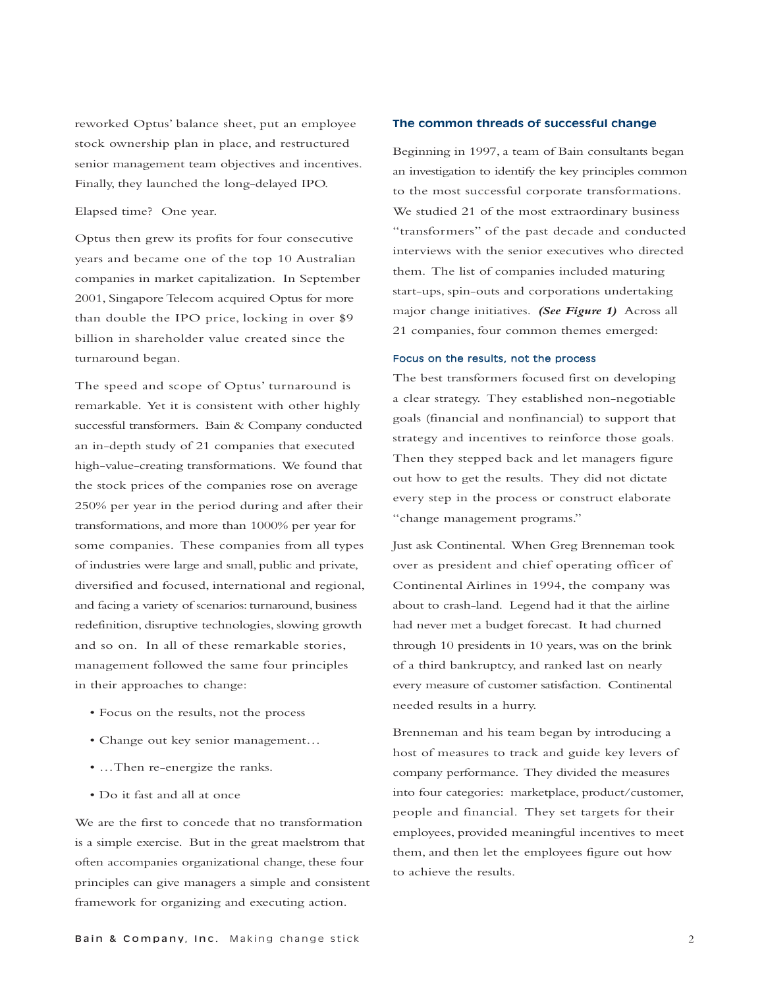reworked Optus' balance sheet, put an employee stock ownership plan in place, and restructured senior management team objectives and incentives. Finally, they launched the long-delayed IPO.

Elapsed time? One year.

Optus then grew its profits for four consecutive years and became one of the top 10 Australian companies in market capitalization. In September 2001, Singapore Telecom acquired Optus for more than double the IPO price, locking in over \$9 billion in shareholder value created since the turnaround began.

The speed and scope of Optus' turnaround is remarkable. Yet it is consistent with other highly successful transformers. Bain & Company conducted an in-depth study of 21 companies that executed high-value-creating transformations. We found that the stock prices of the companies rose on average 250% per year in the period during and after their transformations, and more than 1000% per year for some companies. These companies from all types of industries were large and small, public and private, diversified and focused, international and regional, and facing a variety of scenarios: turnaround, business redefinition, disruptive technologies, slowing growth and so on. In all of these remarkable stories, management followed the same four principles in their approaches to change:

- Focus on the results, not the process
- Change out key senior management…
- …Then re-energize the ranks.
- Do it fast and all at once

We are the first to concede that no transformation is a simple exercise. But in the great maelstrom that often accompanies organizational change, these four principles can give managers a simple and consistent framework for organizing and executing action.

## **The common threads of successful change**

Beginning in 1997, a team of Bain consultants began an investigation to identify the key principles common to the most successful corporate transformations. We studied 21 of the most extraordinary business "transformers" of the past decade and conducted interviews with the senior executives who directed them. The list of companies included maturing start-ups, spin-outs and corporations undertaking major change initiatives. *(See Figure 1)* Across all 21 companies, four common themes emerged:

## Focus on the results, not the process

The best transformers focused first on developing a clear strategy. They established non-negotiable goals (financial and nonfinancial) to support that strategy and incentives to reinforce those goals. Then they stepped back and let managers figure out how to get the results. They did not dictate every step in the process or construct elaborate "change management programs."

Just ask Continental. When Greg Brenneman took over as president and chief operating officer of Continental Airlines in 1994, the company was about to crash-land. Legend had it that the airline had never met a budget forecast. It had churned through 10 presidents in 10 years, was on the brink of a third bankruptcy, and ranked last on nearly every measure of customer satisfaction. Continental needed results in a hurry.

Brenneman and his team began by introducing a host of measures to track and guide key levers of company performance. They divided the measures into four categories: marketplace, product/customer, people and financial. They set targets for their employees, provided meaningful incentives to meet them, and then let the employees figure out how to achieve the results.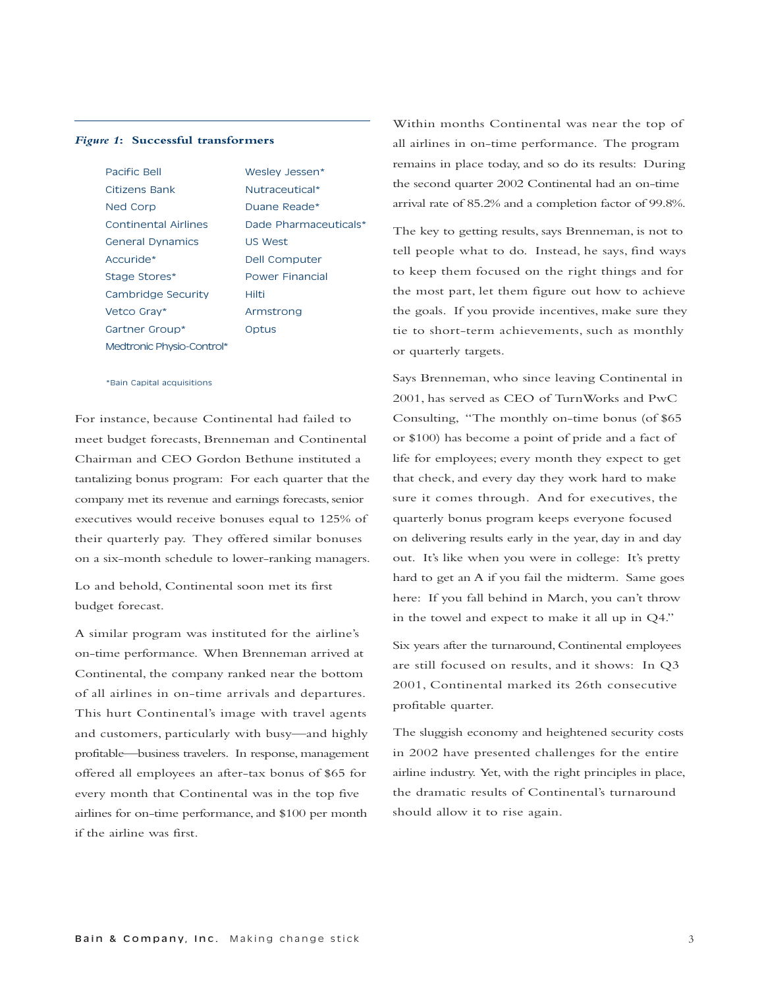#### *Figure 1***: Successful transformers**

| Pacific Rell                | Weslev Jessen*         |
|-----------------------------|------------------------|
| Citizens Bank               | Nutraceutical*         |
| Ned Corp                    | Duane Reade*           |
| <b>Continental Airlines</b> | Dade Pharmaceuticals*  |
| <b>General Dynamics</b>     | <b>US West</b>         |
| Accuride*                   | Dell Computer          |
| Stage Stores*               | <b>Power Financial</b> |
| Cambridge Security          | Hilti                  |
| Vetco Gray*                 | Armstrong              |
| Gartner Group*              | Optus                  |
| Medtronic Physio-Control*   |                        |

#### \*Bain Capital acquisitions

For instance, because Continental had failed to meet budget forecasts, Brenneman and Continental Chairman and CEO Gordon Bethune instituted a tantalizing bonus program: For each quarter that the company met its revenue and earnings forecasts, senior executives would receive bonuses equal to 125% of their quarterly pay. They offered similar bonuses on a six-month schedule to lower-ranking managers.

Lo and behold, Continental soon met its first budget forecast.

A similar program was instituted for the airline's on-time performance. When Brenneman arrived at Continental, the company ranked near the bottom of all airlines in on-time arrivals and departures. This hurt Continental's image with travel agents and customers, particularly with busy—and highly profitable—business travelers. In response, management offered all employees an after-tax bonus of \$65 for every month that Continental was in the top five airlines for on-time performance, and \$100 per month if the airline was first.

Within months Continental was near the top of all airlines in on-time performance. The program remains in place today, and so do its results: During the second quarter 2002 Continental had an on-time arrival rate of 85.2% and a completion factor of 99.8%.

The key to getting results, says Brenneman, is not to tell people what to do. Instead, he says, find ways to keep them focused on the right things and for the most part, let them figure out how to achieve the goals. If you provide incentives, make sure they tie to short-term achievements, such as monthly or quarterly targets.

Says Brenneman, who since leaving Continental in 2001, has served as CEO of TurnWorks and PwC Consulting, "The monthly on-time bonus (of \$65 or \$100) has become a point of pride and a fact of life for employees; every month they expect to get that check, and every day they work hard to make sure it comes through. And for executives, the quarterly bonus program keeps everyone focused on delivering results early in the year, day in and day out. It's like when you were in college: It's pretty hard to get an A if you fail the midterm. Same goes here: If you fall behind in March, you can't throw in the towel and expect to make it all up in Q4."

Six years after the turnaround, Continental employees are still focused on results, and it shows: In Q3 2001, Continental marked its 26th consecutive profitable quarter.

The sluggish economy and heightened security costs in 2002 have presented challenges for the entire airline industry. Yet, with the right principles in place, the dramatic results of Continental's turnaround should allow it to rise again.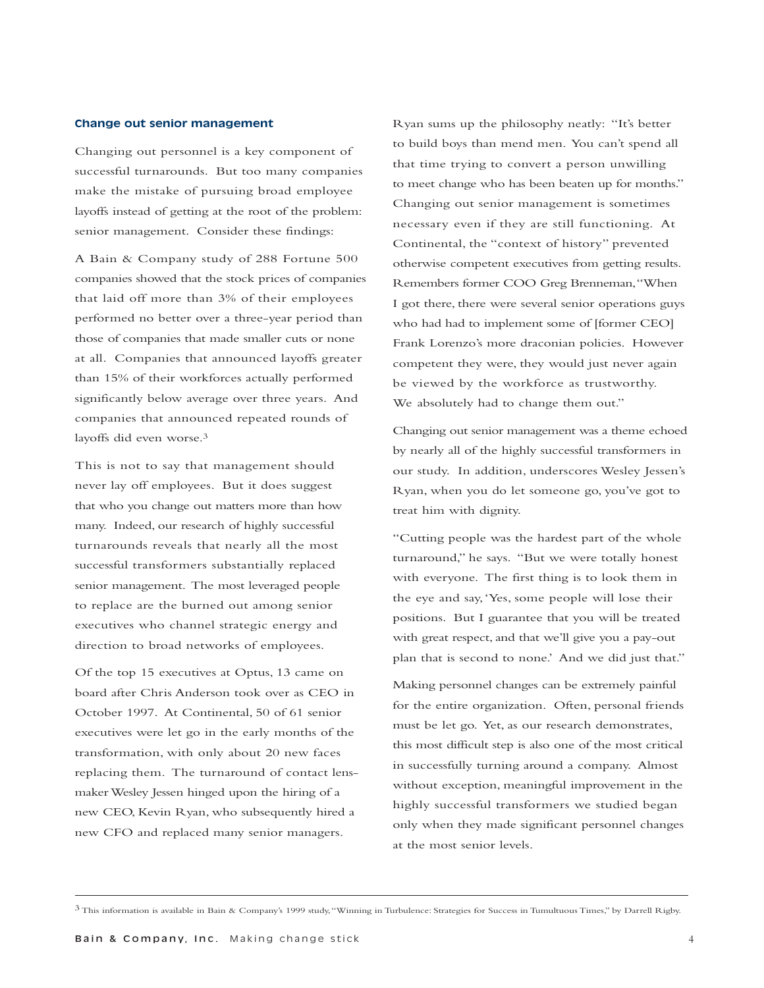## **Change out senior management**

Changing out personnel is a key component of successful turnarounds. But too many companies make the mistake of pursuing broad employee layoffs instead of getting at the root of the problem: senior management. Consider these findings:

A Bain & Company study of 288 Fortune 500 companies showed that the stock prices of companies that laid off more than 3% of their employees performed no better over a three-year period than those of companies that made smaller cuts or none at all. Companies that announced layoffs greater than 15% of their workforces actually performed significantly below average over three years. And companies that announced repeated rounds of layoffs did even worse.3

This is not to say that management should never lay off employees. But it does suggest that who you change out matters more than how many. Indeed, our research of highly successful turnarounds reveals that nearly all the most successful transformers substantially replaced senior management. The most leveraged people to replace are the burned out among senior executives who channel strategic energy and direction to broad networks of employees.

Of the top 15 executives at Optus, 13 came on board after Chris Anderson took over as CEO in October 1997. At Continental, 50 of 61 senior executives were let go in the early months of the transformation, with only about 20 new faces replacing them. The turnaround of contact lensmaker Wesley Jessen hinged upon the hiring of a new CEO, Kevin Ryan, who subsequently hired a new CFO and replaced many senior managers.

Ryan sums up the philosophy neatly: "It's better to build boys than mend men. You can't spend all that time trying to convert a person unwilling to meet change who has been beaten up for months." Changing out senior management is sometimes necessary even if they are still functioning. At Continental, the "context of history" prevented otherwise competent executives from getting results. Remembers former COO Greg Brenneman,"When I got there, there were several senior operations guys who had had to implement some of [former CEO] Frank Lorenzo's more draconian policies. However competent they were, they would just never again be viewed by the workforce as trustworthy. We absolutely had to change them out."

Changing out senior management was a theme echoed by nearly all of the highly successful transformers in our study. In addition, underscores Wesley Jessen's Ryan, when you do let someone go, you've got to treat him with dignity.

"Cutting people was the hardest part of the whole turnaround," he says. "But we were totally honest with everyone. The first thing is to look them in the eye and say,'Yes, some people will lose their positions. But I guarantee that you will be treated with great respect, and that we'll give you a pay-out plan that is second to none.' And we did just that."

Making personnel changes can be extremely painful for the entire organization. Often, personal friends must be let go. Yet, as our research demonstrates, this most difficult step is also one of the most critical in successfully turning around a company. Almost without exception, meaningful improvement in the highly successful transformers we studied began only when they made significant personnel changes at the most senior levels.

<sup>3</sup> This information is available in Bain & Company's 1999 study,"Winning in Turbulence: Strategies for Success in Tumultuous Times," by Darrell Rigby.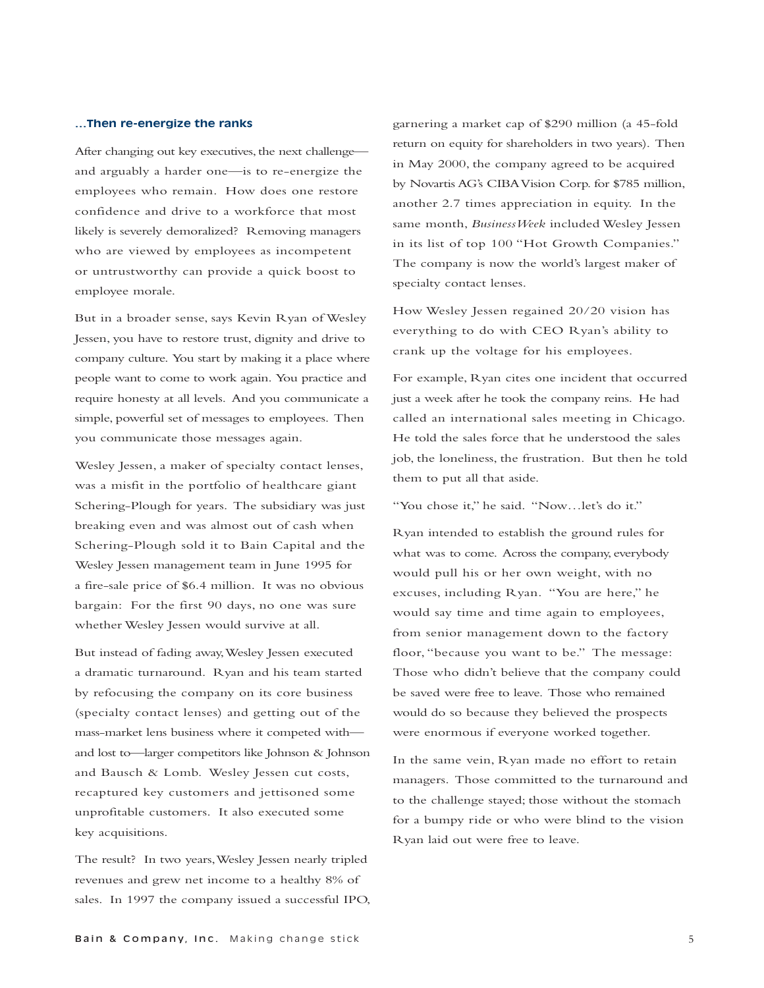## **…Then re-energize the ranks**

After changing out key executives, the next challenge and arguably a harder one—is to re-energize the employees who remain. How does one restore confidence and drive to a workforce that most likely is severely demoralized? Removing managers who are viewed by employees as incompetent or untrustworthy can provide a quick boost to employee morale.

But in a broader sense, says Kevin Ryan of Wesley Jessen, you have to restore trust, dignity and drive to company culture. You start by making it a place where people want to come to work again. You practice and require honesty at all levels. And you communicate a simple, powerful set of messages to employees. Then you communicate those messages again.

Wesley Jessen, a maker of specialty contact lenses, was a misfit in the portfolio of healthcare giant Schering-Plough for years. The subsidiary was just breaking even and was almost out of cash when Schering-Plough sold it to Bain Capital and the Wesley Jessen management team in June 1995 for a fire-sale price of \$6.4 million. It was no obvious bargain: For the first 90 days, no one was sure whether Wesley Jessen would survive at all.

But instead of fading away,Wesley Jessen executed a dramatic turnaround. Ryan and his team started by refocusing the company on its core business (specialty contact lenses) and getting out of the mass-market lens business where it competed with and lost to—larger competitors like Johnson & Johnson and Bausch & Lomb. Wesley Jessen cut costs, recaptured key customers and jettisoned some unprofitable customers. It also executed some key acquisitions.

The result? In two years,Wesley Jessen nearly tripled revenues and grew net income to a healthy 8% of sales. In 1997 the company issued a successful IPO, garnering a market cap of \$290 million (a 45-fold return on equity for shareholders in two years). Then in May 2000, the company agreed to be acquired by Novartis AG's CIBA Vision Corp. for \$785 million, another 2.7 times appreciation in equity. In the same month, *BusinessWeek* included Wesley Jessen in its list of top 100 "Hot Growth Companies." The company is now the world's largest maker of specialty contact lenses.

How Wesley Jessen regained 20/20 vision has everything to do with CEO Ryan's ability to crank up the voltage for his employees.

For example, Ryan cites one incident that occurred just a week after he took the company reins. He had called an international sales meeting in Chicago. He told the sales force that he understood the sales job, the loneliness, the frustration. But then he told them to put all that aside.

"You chose it," he said. "Now…let's do it."

Ryan intended to establish the ground rules for what was to come. Across the company, everybody would pull his or her own weight, with no excuses, including Ryan. "You are here," he would say time and time again to employees, from senior management down to the factory floor, "because you want to be." The message: Those who didn't believe that the company could be saved were free to leave. Those who remained would do so because they believed the prospects were enormous if everyone worked together.

In the same vein, Ryan made no effort to retain managers. Those committed to the turnaround and to the challenge stayed; those without the stomach for a bumpy ride or who were blind to the vision Ryan laid out were free to leave.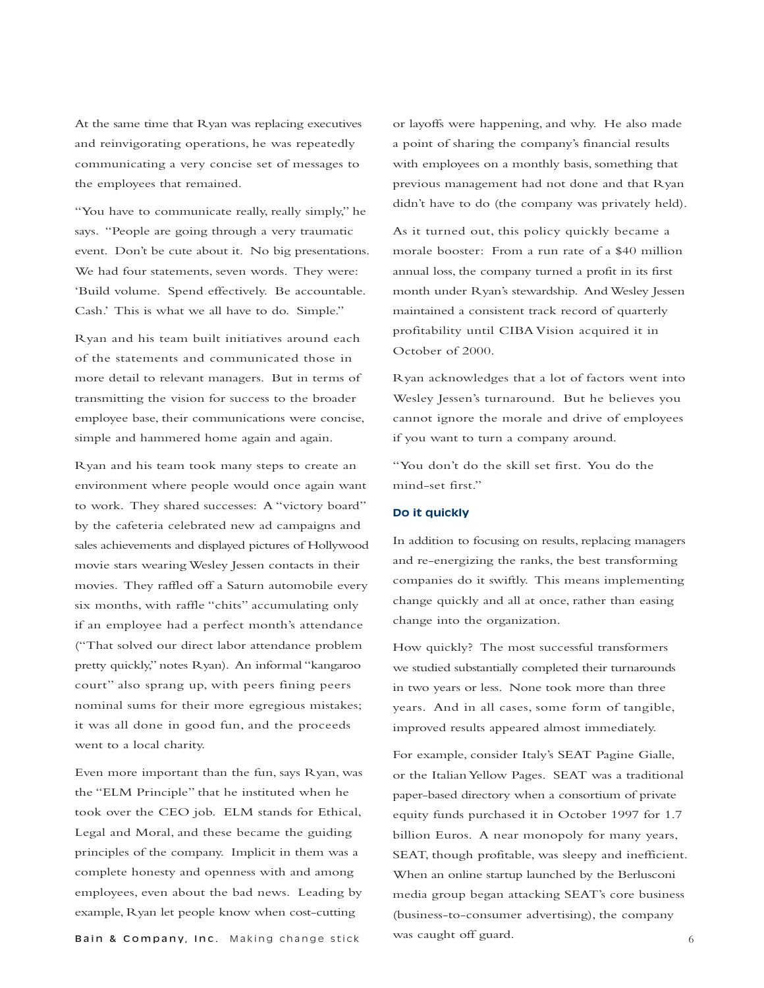At the same time that Ryan was replacing executives and reinvigorating operations, he was repeatedly communicating a very concise set of messages to the employees that remained.

"You have to communicate really, really simply," he says. "People are going through a very traumatic event. Don't be cute about it. No big presentations. We had four statements, seven words. They were: 'Build volume. Spend effectively. Be accountable. Cash.' This is what we all have to do. Simple."

Ryan and his team built initiatives around each of the statements and communicated those in more detail to relevant managers. But in terms of transmitting the vision for success to the broader employee base, their communications were concise, simple and hammered home again and again.

Ryan and his team took many steps to create an environment where people would once again want to work. They shared successes: A "victory board" by the cafeteria celebrated new ad campaigns and sales achievements and displayed pictures of Hollywood movie stars wearing Wesley Jessen contacts in their movies. They raffled off a Saturn automobile every six months, with raffle "chits" accumulating only if an employee had a perfect month's attendance ("That solved our direct labor attendance problem pretty quickly," notes Ryan). An informal "kangaroo court" also sprang up, with peers fining peers nominal sums for their more egregious mistakes; it was all done in good fun, and the proceeds went to a local charity.

Even more important than the fun, says Ryan, was the "ELM Principle" that he instituted when he took over the CEO job. ELM stands for Ethical, Legal and Moral, and these became the guiding principles of the company. Implicit in them was a complete honesty and openness with and among employees, even about the bad news. Leading by example, Ryan let people know when cost-cutting

**Bain & Company, Inc.** Making change stick was caught off guard.  $\overline{6}$ 

or layoffs were happening, and why. He also made a point of sharing the company's financial results with employees on a monthly basis, something that previous management had not done and that Ryan didn't have to do (the company was privately held).

As it turned out, this policy quickly became a morale booster: From a run rate of a \$40 million annual loss, the company turned a profit in its first month under Ryan's stewardship. And Wesley Jessen maintained a consistent track record of quarterly profitability until CIBA Vision acquired it in October of 2000.

Ryan acknowledges that a lot of factors went into Wesley Jessen's turnaround. But he believes you cannot ignore the morale and drive of employees if you want to turn a company around.

"You don't do the skill set first. You do the mind-set first."

## **Do it quickly**

In addition to focusing on results, replacing managers and re-energizing the ranks, the best transforming companies do it swiftly. This means implementing change quickly and all at once, rather than easing change into the organization.

How quickly? The most successful transformers we studied substantially completed their turnarounds in two years or less. None took more than three years. And in all cases, some form of tangible, improved results appeared almost immediately.

For example, consider Italy's SEAT Pagine Gialle, or the Italian Yellow Pages. SEAT was a traditional paper-based directory when a consortium of private equity funds purchased it in October 1997 for 1.7 billion Euros. A near monopoly for many years, SEAT, though profitable, was sleepy and inefficient. When an online startup launched by the Berlusconi media group began attacking SEAT's core business (business-to-consumer advertising), the company was caught off guard.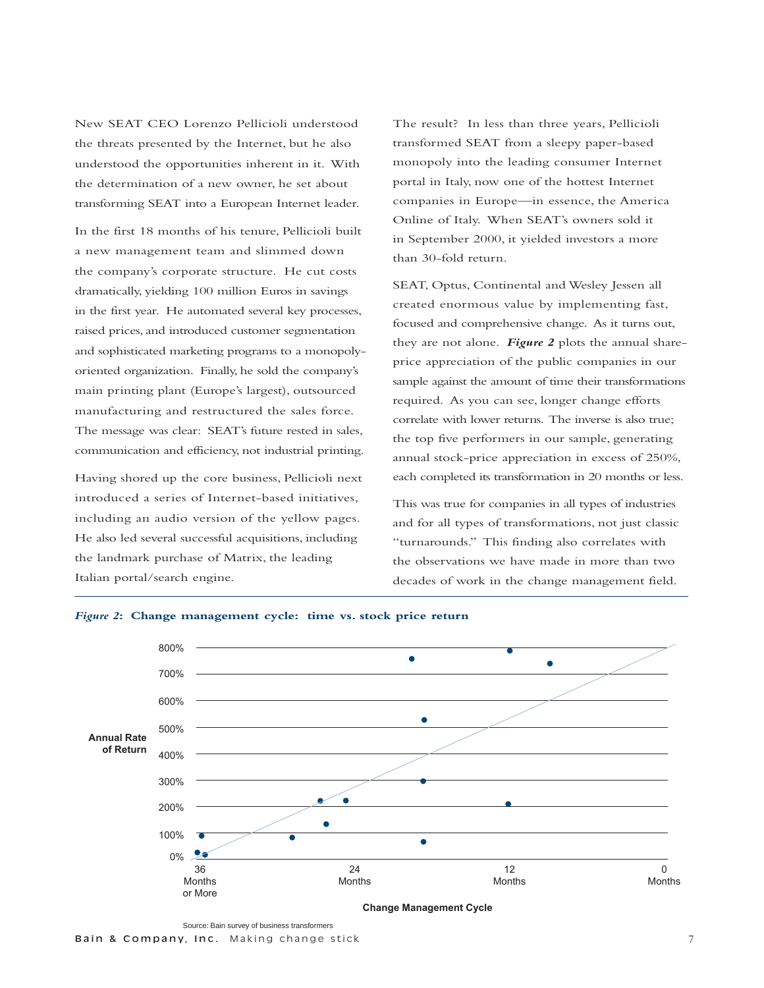New SEAT CEO Lorenzo Pellicioli understood the threats presented by the Internet, but he also understood the opportunities inherent in it. With the determination of a new owner, he set about transforming SEAT into a European Internet leader.

In the first 18 months of his tenure, Pellicioli built a new management team and slimmed down the company's corporate structure. He cut costs dramatically, yielding 100 million Euros in savings in the first year. He automated several key processes, raised prices, and introduced customer segmentation and sophisticated marketing programs to a monopolyoriented organization. Finally, he sold the company's main printing plant (Europe's largest), outsourced manufacturing and restructured the sales force. The message was clear: SEAT's future rested in sales, communication and efficiency, not industrial printing.

Having shored up the core business, Pellicioli next introduced a series of Internet-based initiatives, including an audio version of the yellow pages. He also led several successful acquisitions, including the landmark purchase of Matrix, the leading Italian portal/search engine.

The result? In less than three years, Pellicioli transformed SEAT from a sleepy paper-based monopoly into the leading consumer Internet portal in Italy, now one of the hottest Internet companies in Europe—in essence, the America Online of Italy. When SEAT's owners sold it in September 2000, it yielded investors a more than 30-fold return.

SEAT, Optus, Continental and Wesley Jessen all created enormous value by implementing fast, focused and comprehensive change. As it turns out, they are not alone. *Figure 2* plots the annual shareprice appreciation of the public companies in our sample against the amount of time their transformations required. As you can see, longer change efforts correlate with lower returns. The inverse is also true; the top five performers in our sample, generating annual stock-price appreciation in excess of 250%, each completed its transformation in 20 months or less.

This was true for companies in all types of industries and for all types of transformations, not just classic "turnarounds." This finding also correlates with the observations we have made in more than two decades of work in the change management field.



## *Figure 2***: Change management cycle: time vs. stock price return**

Source: Bain survey of business transformers Bain & Company, Inc. Making change stick 7